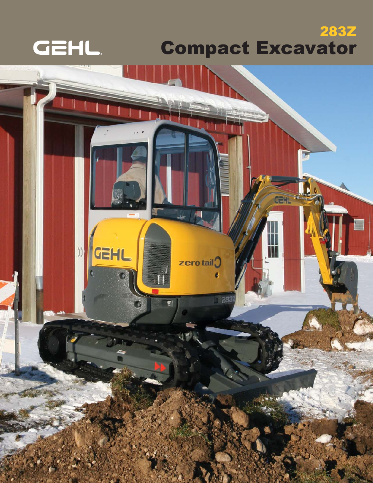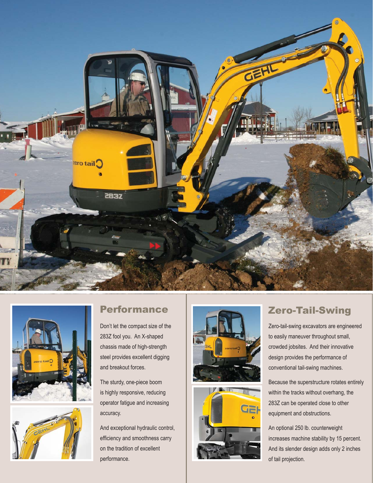





Don't let the compact size of the 283Z fool you. An X-shaped chassis made of high-strength steel provides excellent digging and breakout forces.

The sturdy, one-piece boom is highly responsive, reducing operator fatigue and increasing accuracy.

And exceptional hydraulic control, efficiency and smoothness carry on the tradition of excellent performance.





Zero-tail-swing excavators are engineered to easily maneuver throughout small, crowded jobsites. And their innovative design provides the performance of conventional tail-swing machines.

Because the superstructure rotates entirely within the tracks without overhang, the 283Z can be operated close to other equipment and obstructions.

An optional 250 lb. counterweight increases machine stability by 15 percent. And its slender design adds only 2 inches of tail projection.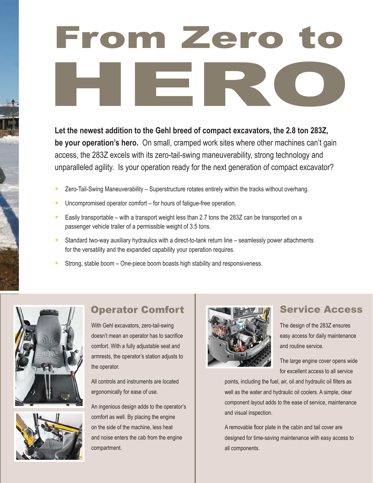# From Zero to From Zero to<br>HERO

**Let the newest addition to the Gehl breed of compact excavators, the 2.8 ton 283Z, be your operation's hero.** On small, cramped work sites where other machines can't gain access, the 283Z excels with its zero-tail-swing maneuverability, strong technology and unparalleled agility. Is your operation ready for the next generation of compact excavator?

- Zero-Tail-Swing Maneuverability Superstructure rotates entirely within the tracks without overhang.
- Uncompromised operator comfort for hours of fatigue-free operation.
- Easily transportable with a transport weight less than 2.7 tons the 283Z can be transported on a passenger vehicle trailer of a permissible weight of 3.5 tons.
- Standard two-way auxiliary hydraulics with a direct-to-tank return line seamlessly power attachments for the versatility and the expanded capability your operation requires.
- Strong, stable boom One-piece boom boasts high stability and responsiveness.





# Operator Comfort

With Gehl excavators, zero-tail-swing doesn't mean an operator has to sacrifice comfort. With a fully adjustable seat and armrests, the operator's station adjusts to the operator.

All controls and instruments are located ergonomically for ease of use.

An ingenious design adds to the operator's comfort as well. By placing the engine on the side of the machine, less heat and noise enters the cab from the engine compartment.



## Service Access

The design of the 283Z ensures easy access for daily maintenance and routine service.

The large engine cover opens wide for excellent access to all service

points, including the fuel, air, oil and hydraulic oil filters as well as the water and hydraulic oil coolers. A simple, clear component layout adds to the ease of service, maintenance and visual inspection.

A removable floor plate in the cabin and tail cover are designed for time-saving maintenance with easy access to all components.